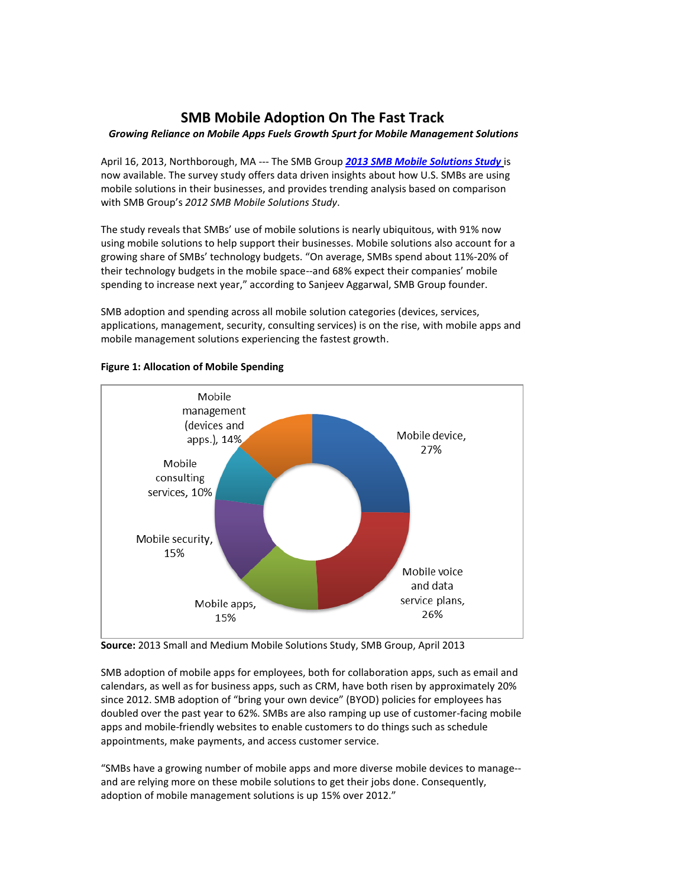## **SMB Mobile Adoption On The Fast Track**

## *Growing Reliance on Mobile Apps Fuels Growth Spurt for Mobile Management Solutions*

April 16, 2013, Northborough, MA --- The SMB Group *[2013 SMB Mobile Solutions Study](http://www.smb-gr.com/wp-content/uploads/2013/pdf/After_Mobile_brochure_2013.pdf)* is now available. The survey study offers data driven insights about how U.S. SMBs are using mobile solutions in their businesses, and provides trending analysis based on comparison with SMB Group's *2012 SMB Mobile Solutions Study*.

The study reveals that SMBs' use of mobile solutions is nearly ubiquitous, with 91% now using mobile solutions to help support their businesses. Mobile solutions also account for a growing share of SMBs' technology budgets. "On average, SMBs spend about 11%-20% of their technology budgets in the mobile space--and 68% expect their companies' mobile spending to increase next year," according to Sanjeev Aggarwal, SMB Group founder.

SMB adoption and spending across all mobile solution categories (devices, services, applications, management, security, consulting services) is on the rise, with mobile apps and mobile management solutions experiencing the fastest growth.



## **Figure 1: Allocation of Mobile Spending**

**Source:** 2013 Small and Medium Mobile Solutions Study, SMB Group, April 2013

SMB adoption of mobile apps for employees, both for collaboration apps, such as email and calendars, as well as for business apps, such as CRM, have both risen by approximately 20% since 2012. SMB adoption of "bring your own device" (BYOD) policies for employees has doubled over the past year to 62%. SMBs are also ramping up use of customer-facing mobile apps and mobile-friendly websites to enable customers to do things such as schedule appointments, make payments, and access customer service.

"SMBs have a growing number of mobile apps and more diverse mobile devices to manage- and are relying more on these mobile solutions to get their jobs done. Consequently, adoption of mobile management solutions is up 15% over 2012."